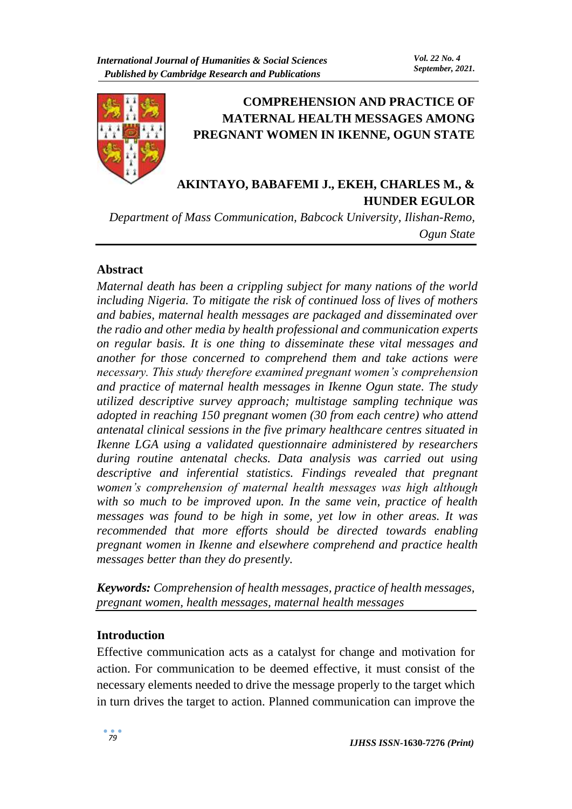

# **COMPREHENSION AND PRACTICE OF MATERNAL HEALTH MESSAGES AMONG PREGNANT WOMEN IN IKENNE, OGUN STATE**

# **AKINTAYO, BABAFEMI J., EKEH, CHARLES M., & HUNDER EGULOR**

*Department of Mass Communication, Babcock University, Ilishan-Remo, Ogun State*

## **Abstract**

*Maternal death has been a crippling subject for many nations of the world including Nigeria. To mitigate the risk of continued loss of lives of mothers and babies, maternal health messages are packaged and disseminated over the radio and other media by health professional and communication experts on regular basis. It is one thing to disseminate these vital messages and another for those concerned to comprehend them and take actions were necessary. This study therefore examined pregnant women's comprehension and practice of maternal health messages in Ikenne Ogun state. The study utilized descriptive survey approach; multistage sampling technique was adopted in reaching 150 pregnant women (30 from each centre) who attend antenatal clinical sessions in the five primary healthcare centres situated in Ikenne LGA using a validated questionnaire administered by researchers during routine antenatal checks. Data analysis was carried out using descriptive and inferential statistics. Findings revealed that pregnant women's comprehension of maternal health messages was high although with so much to be improved upon. In the same vein, practice of health messages was found to be high in some, yet low in other areas. It was recommended that more efforts should be directed towards enabling pregnant women in Ikenne and elsewhere comprehend and practice health messages better than they do presently.*

*Keywords: Comprehension of health messages, practice of health messages, pregnant women, health messages, maternal health messages*

### **Introduction**

Effective communication acts as a catalyst for change and motivation for action. For communication to be deemed effective, it must consist of the necessary elements needed to drive the message properly to the target which in turn drives the target to action. Planned communication can improve the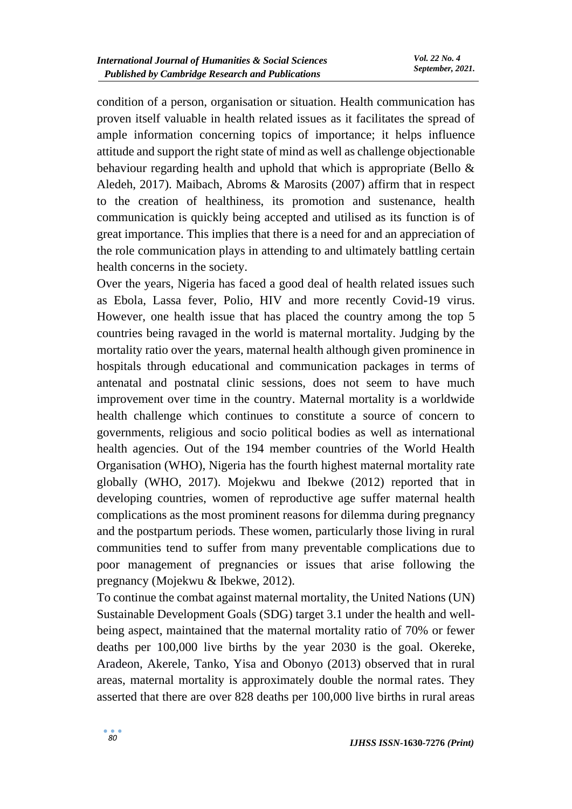condition of a person, organisation or situation. Health communication has proven itself valuable in health related issues as it facilitates the spread of ample information concerning topics of importance; it helps influence attitude and support the right state of mind as well as challenge objectionable behaviour regarding health and uphold that which is appropriate (Bello & Aledeh, 2017). Maibach, Abroms & Marosits (2007) affirm that in respect to the creation of healthiness, its promotion and sustenance, health communication is quickly being accepted and utilised as its function is of great importance. This implies that there is a need for and an appreciation of the role communication plays in attending to and ultimately battling certain health concerns in the society.

Over the years, Nigeria has faced a good deal of health related issues such as Ebola, Lassa fever, Polio, HIV and more recently Covid-19 virus. However, one health issue that has placed the country among the top 5 countries being ravaged in the world is maternal mortality. Judging by the mortality ratio over the years, maternal health although given prominence in hospitals through educational and communication packages in terms of antenatal and postnatal clinic sessions, does not seem to have much improvement over time in the country. Maternal mortality is a worldwide health challenge which continues to constitute a source of concern to governments, religious and socio political bodies as well as international health agencies. Out of the 194 member countries of the World Health Organisation (WHO), Nigeria has the fourth highest maternal mortality rate globally (WHO, 2017). Mojekwu and Ibekwe (2012) reported that in developing countries, women of reproductive age suffer maternal health complications as the most prominent reasons for dilemma during pregnancy and the postpartum periods. These women, particularly those living in rural communities tend to suffer from many preventable complications due to poor management of pregnancies or issues that arise following the pregnancy (Mojekwu & Ibekwe, 2012).

To continue the combat against maternal mortality, the United Nations (UN) Sustainable Development Goals (SDG) target 3.1 under the health and wellbeing aspect, maintained that the maternal mortality ratio of 70% or fewer deaths per 100,000 live births by the year 2030 is the goal. Okereke, Aradeon, Akerele, Tanko, Yisa and Obonyo (2013) observed that in rural areas, maternal mortality is approximately double the normal rates. They asserted that there are over 828 deaths per 100,000 live births in rural areas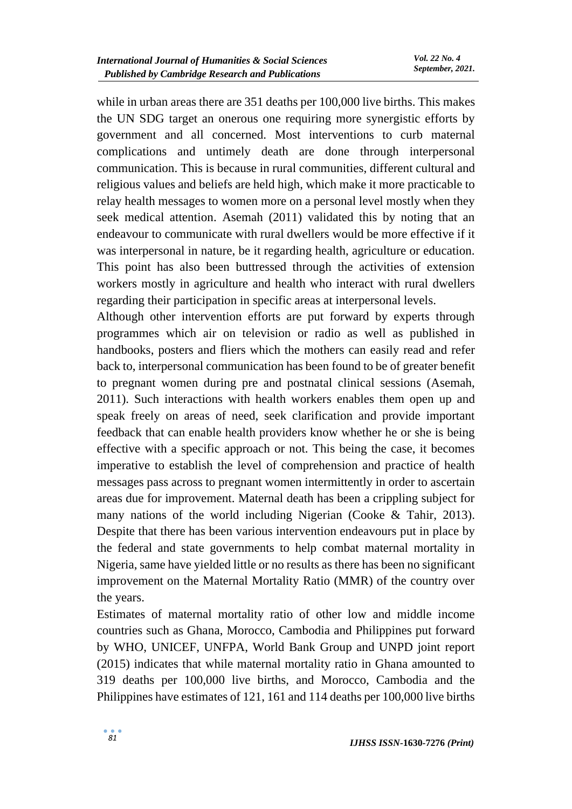while in urban areas there are 351 deaths per 100,000 live births. This makes the UN SDG target an onerous one requiring more synergistic efforts by government and all concerned. Most interventions to curb maternal complications and untimely death are done through interpersonal communication. This is because in rural communities, different cultural and religious values and beliefs are held high, which make it more practicable to relay health messages to women more on a personal level mostly when they seek medical attention. Asemah (2011) validated this by noting that an endeavour to communicate with rural dwellers would be more effective if it was interpersonal in nature, be it regarding health, agriculture or education. This point has also been buttressed through the activities of extension workers mostly in agriculture and health who interact with rural dwellers regarding their participation in specific areas at interpersonal levels.

Although other intervention efforts are put forward by experts through programmes which air on television or radio as well as published in handbooks, posters and fliers which the mothers can easily read and refer back to, interpersonal communication has been found to be of greater benefit to pregnant women during pre and postnatal clinical sessions (Asemah, 2011). Such interactions with health workers enables them open up and speak freely on areas of need, seek clarification and provide important feedback that can enable health providers know whether he or she is being effective with a specific approach or not. This being the case, it becomes imperative to establish the level of comprehension and practice of health messages pass across to pregnant women intermittently in order to ascertain areas due for improvement. Maternal death has been a crippling subject for many nations of the world including Nigerian (Cooke & Tahir, 2013). Despite that there has been various intervention endeavours put in place by the federal and state governments to help combat maternal mortality in Nigeria, same have yielded little or no results as there has been no significant improvement on the Maternal Mortality Ratio (MMR) of the country over the years.

Estimates of maternal mortality ratio of other low and middle income countries such as Ghana, Morocco, Cambodia and Philippines put forward by WHO, UNICEF, UNFPA, World Bank Group and UNPD joint report (2015) indicates that while maternal mortality ratio in Ghana amounted to 319 deaths per 100,000 live births, and Morocco, Cambodia and the Philippines have estimates of 121, 161 and 114 deaths per 100,000 live births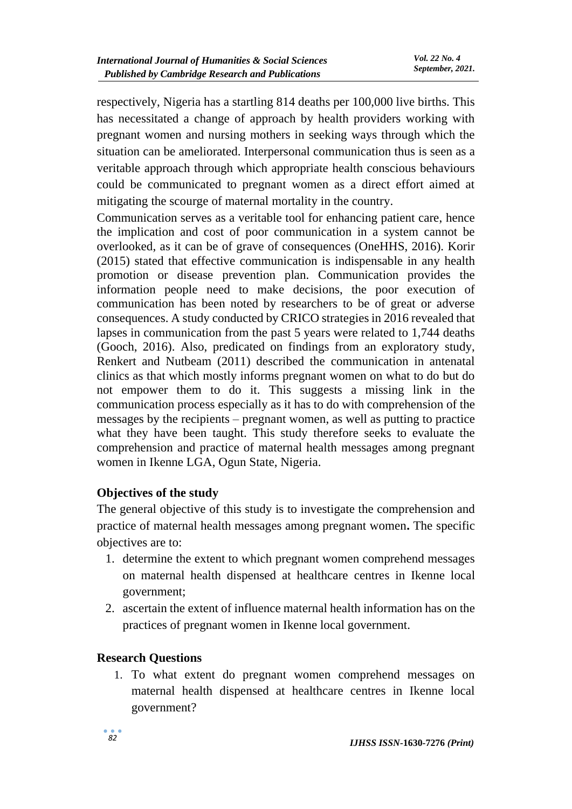respectively, Nigeria has a startling 814 deaths per 100,000 live births. This has necessitated a change of approach by health providers working with pregnant women and nursing mothers in seeking ways through which the situation can be ameliorated. Interpersonal communication thus is seen as a veritable approach through which appropriate health conscious behaviours could be communicated to pregnant women as a direct effort aimed at mitigating the scourge of maternal mortality in the country.

Communication serves as a veritable tool for enhancing patient care, hence the implication and cost of poor communication in a system cannot be overlooked, as it can be of grave of consequences (OneHHS, 2016). Korir (2015) stated that effective communication is indispensable in any health promotion or disease prevention plan. Communication provides the information people need to make decisions, the poor execution of communication has been noted by researchers to be of great or adverse consequences. A study conducted by CRICO strategies in 2016 revealed that lapses in communication from the past 5 years were related to 1,744 deaths (Gooch, 2016). Also, predicated on findings from an exploratory study, Renkert and Nutbeam (2011) described the communication in antenatal clinics as that which mostly informs pregnant women on what to do but do not empower them to do it. This suggests a missing link in the communication process especially as it has to do with comprehension of the messages by the recipients – pregnant women, as well as putting to practice what they have been taught. This study therefore seeks to evaluate the comprehension and practice of maternal health messages among pregnant women in Ikenne LGA, Ogun State, Nigeria.

## **Objectives of the study**

The general objective of this study is to investigate the comprehension and practice of maternal health messages among pregnant women**.** The specific objectives are to:

- 1. determine the extent to which pregnant women comprehend messages on maternal health dispensed at healthcare centres in Ikenne local government;
- 2. ascertain the extent of influence maternal health information has on the practices of pregnant women in Ikenne local government.

## **Research Questions**

1. To what extent do pregnant women comprehend messages on maternal health dispensed at healthcare centres in Ikenne local government?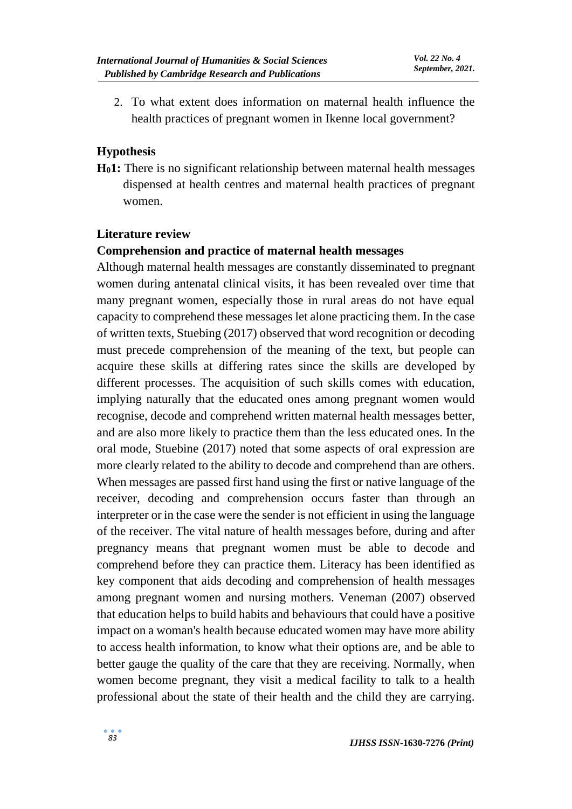2. To what extent does information on maternal health influence the health practices of pregnant women in Ikenne local government?

## **Hypothesis**

**H01:** There is no significant relationship between maternal health messages dispensed at health centres and maternal health practices of pregnant women.

### **Literature review**

### **Comprehension and practice of maternal health messages**

Although maternal health messages are constantly disseminated to pregnant women during antenatal clinical visits, it has been revealed over time that many pregnant women, especially those in rural areas do not have equal capacity to comprehend these messages let alone practicing them. In the case of written texts, Stuebing (2017) observed that word recognition or decoding must precede comprehension of the meaning of the text, but people can acquire these skills at differing rates since the skills are developed by different processes. The acquisition of such skills comes with education, implying naturally that the educated ones among pregnant women would recognise, decode and comprehend written maternal health messages better, and are also more likely to practice them than the less educated ones. In the oral mode, Stuebine (2017) noted that some aspects of oral expression are more clearly related to the ability to decode and comprehend than are others. When messages are passed first hand using the first or native language of the receiver, decoding and comprehension occurs faster than through an interpreter or in the case were the sender is not efficient in using the language of the receiver. The vital nature of health messages before, during and after pregnancy means that pregnant women must be able to decode and comprehend before they can practice them. Literacy has been identified as key component that aids decoding and comprehension of health messages among pregnant women and nursing mothers. Veneman (2007) observed that education helps to build habits and behaviours that could have a positive impact on a woman's health because educated women may have more ability to access health information, to know what their options are, and be able to better gauge the quality of the care that they are receiving. Normally, when women become pregnant, they visit a medical facility to talk to a health professional about the state of their health and the child they are carrying.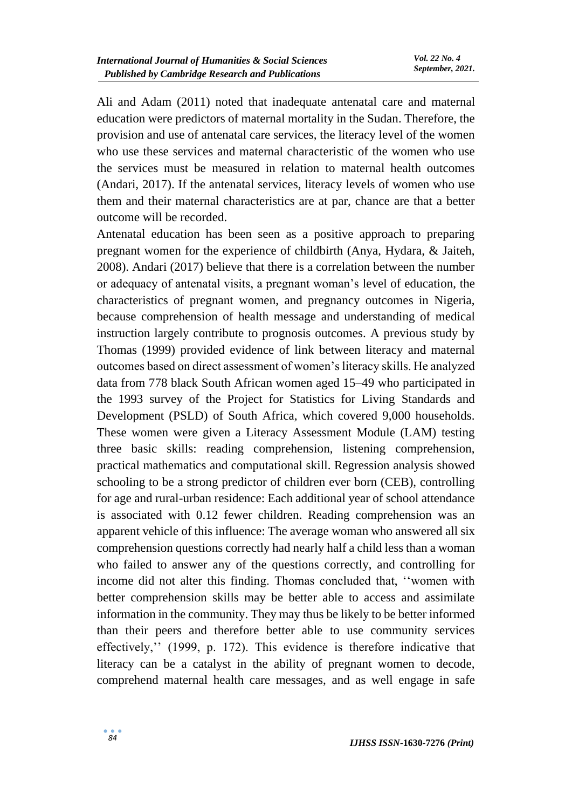Ali and Adam (2011) noted that inadequate antenatal care and maternal education were predictors of maternal mortality in the Sudan. Therefore, the provision and use of antenatal care services, the literacy level of the women who use these services and maternal characteristic of the women who use the services must be measured in relation to maternal health outcomes (Andari, 2017). If the antenatal services, literacy levels of women who use them and their maternal characteristics are at par, chance are that a better outcome will be recorded.

Antenatal education has been seen as a positive approach to preparing pregnant women for the experience of childbirth (Anya, Hydara, & Jaiteh, 2008). Andari (2017) believe that there is a correlation between the number or adequacy of antenatal visits, a pregnant woman's level of education, the characteristics of pregnant women, and pregnancy outcomes in Nigeria, because comprehension of health message and understanding of medical instruction largely contribute to prognosis outcomes. A previous study by Thomas (1999) provided evidence of link between literacy and maternal outcomes based on direct assessment of women's literacy skills. He analyzed data from 778 black South African women aged 15–49 who participated in the 1993 survey of the Project for Statistics for Living Standards and Development (PSLD) of South Africa, which covered 9,000 households. These women were given a Literacy Assessment Module (LAM) testing three basic skills: reading comprehension, listening comprehension, practical mathematics and computational skill. Regression analysis showed schooling to be a strong predictor of children ever born (CEB), controlling for age and rural-urban residence: Each additional year of school attendance is associated with 0.12 fewer children. Reading comprehension was an apparent vehicle of this influence: The average woman who answered all six comprehension questions correctly had nearly half a child less than a woman who failed to answer any of the questions correctly, and controlling for income did not alter this finding. Thomas concluded that, ''women with better comprehension skills may be better able to access and assimilate information in the community. They may thus be likely to be better informed than their peers and therefore better able to use community services effectively,'' (1999, p. 172). This evidence is therefore indicative that literacy can be a catalyst in the ability of pregnant women to decode, comprehend maternal health care messages, and as well engage in safe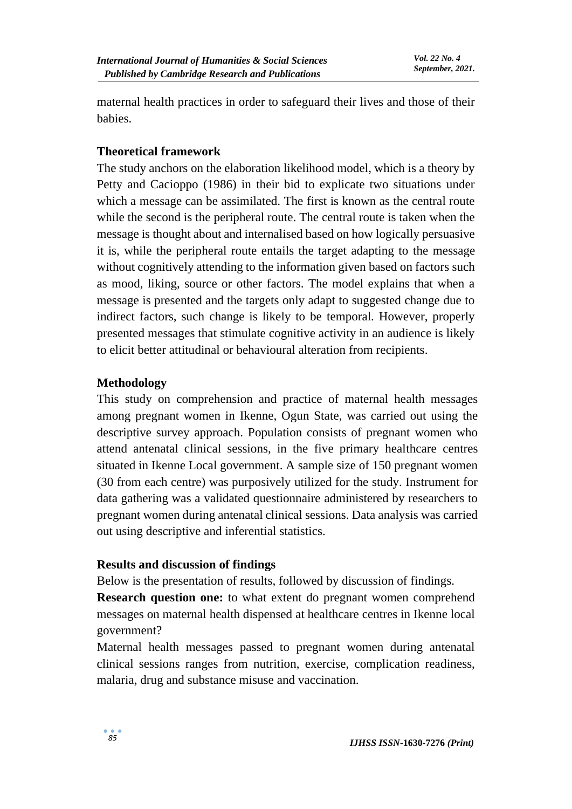maternal health practices in order to safeguard their lives and those of their babies.

### **Theoretical framework**

The study anchors on the elaboration likelihood model, which is a theory by Petty and Cacioppo (1986) in their bid to explicate two situations under which a message can be assimilated. The first is known as the central route while the second is the peripheral route. The central route is taken when the message is thought about and internalised based on how logically persuasive it is, while the peripheral route entails the target adapting to the message without cognitively attending to the information given based on factors such as mood, liking, source or other factors. The model explains that when a message is presented and the targets only adapt to suggested change due to indirect factors, such change is likely to be temporal. However, properly presented messages that stimulate cognitive activity in an audience is likely to elicit better attitudinal or behavioural alteration from recipients.

### **Methodology**

This study on comprehension and practice of maternal health messages among pregnant women in Ikenne, Ogun State, was carried out using the descriptive survey approach. Population consists of pregnant women who attend antenatal clinical sessions, in the five primary healthcare centres situated in Ikenne Local government. A sample size of 150 pregnant women (30 from each centre) was purposively utilized for the study. Instrument for data gathering was a validated questionnaire administered by researchers to pregnant women during antenatal clinical sessions. Data analysis was carried out using descriptive and inferential statistics.

#### **Results and discussion of findings**

Below is the presentation of results, followed by discussion of findings.

**Research question one:** to what extent do pregnant women comprehend messages on maternal health dispensed at healthcare centres in Ikenne local government?

Maternal health messages passed to pregnant women during antenatal clinical sessions ranges from nutrition, exercise, complication readiness, malaria, drug and substance misuse and vaccination.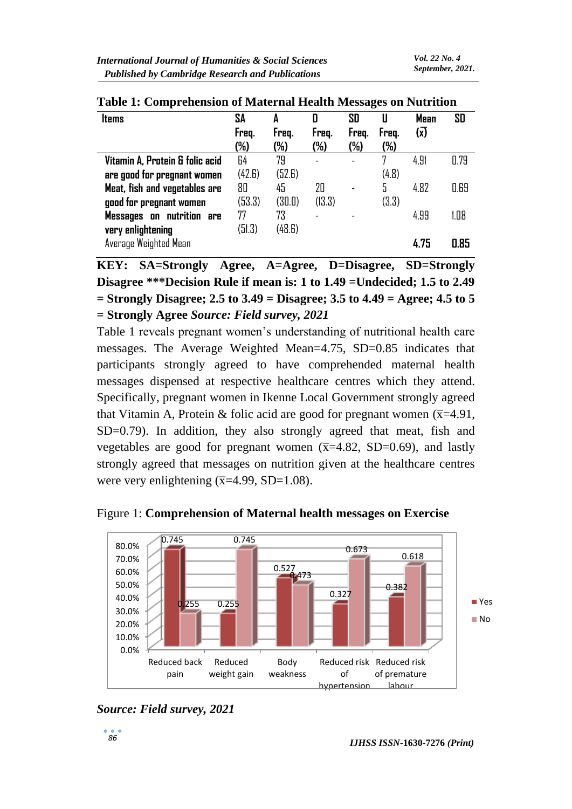| <b>Items</b>                    | SA<br>Freq.<br>(%) | A<br>Freq.<br>(%) | D<br>Freg.<br>(%)        | SD<br>Freq.<br>(%) | Freq.<br>(%) | <b>Mean</b><br>$\overline{\mathsf{x}}$ | SD   |
|---------------------------------|--------------------|-------------------|--------------------------|--------------------|--------------|----------------------------------------|------|
| Vitamin A, Protein & folic acid | 64                 | 79                | $\overline{\phantom{a}}$ |                    | 7            | 4.91                                   | 0.79 |
| are good for pregnant women     | (42.6)             | (52.6)            |                          |                    | (4.8)        |                                        |      |
| Meat, fish and vegetables are   | 80                 | 45                | 20                       |                    | 5            | 4.82                                   | 0.69 |
| good for pregnant women         | (53.3)             | (30.0)            | (13.3)                   |                    | (3.3)        |                                        |      |
| Messages on nutrition are       | 77                 | 73                | ۳                        |                    |              | 4.99                                   | 1.08 |
| very enlightening               | (51.3)             | (48.6)            |                          |                    |              |                                        |      |
| Average Weighted Mean           |                    |                   |                          |                    |              | 4.75                                   | 0.85 |

**Table 1: Comprehension of Maternal Health Messages on Nutrition** 

**KEY: SA=Strongly Agree, A=Agree, D=Disagree, SD=Strongly Disagree \*\*\*Decision Rule if mean is: 1 to 1.49 =Undecided; 1.5 to 2.49 = Strongly Disagree; 2.5 to 3.49 = Disagree; 3.5 to 4.49 = Agree; 4.5 to 5 = Strongly Agree** *Source: Field survey, 2021*

Table 1 reveals pregnant women's understanding of nutritional health care messages. The Average Weighted Mean=4.75, SD=0.85 indicates that participants strongly agreed to have comprehended maternal health messages dispensed at respective healthcare centres which they attend. Specifically, pregnant women in Ikenne Local Government strongly agreed that Vitamin A, Protein & folic acid are good for pregnant women  $(\overline{x}=4.91,$ SD=0.79). In addition, they also strongly agreed that meat, fish and vegetables are good for pregnant women  $(\overline{x}=4.82, SD=0.69)$ , and lastly strongly agreed that messages on nutrition given at the healthcare centres were very enlightening  $(\overline{x}=4.99, SD=1.08)$ .



Figure 1: **Comprehension of Maternal health messages on Exercise**

*Source: Field survey, 2021*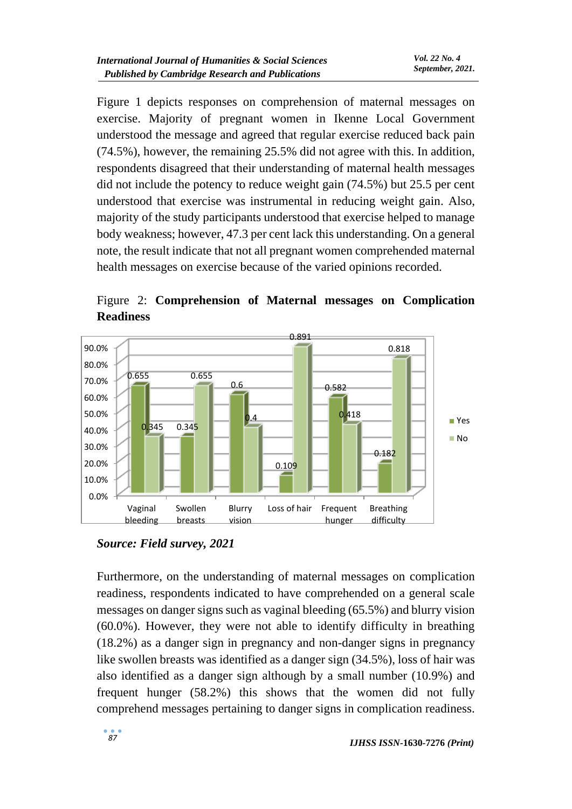Figure 1 depicts responses on comprehension of maternal messages on exercise. Majority of pregnant women in Ikenne Local Government understood the message and agreed that regular exercise reduced back pain (74.5%), however, the remaining 25.5% did not agree with this. In addition, respondents disagreed that their understanding of maternal health messages did not include the potency to reduce weight gain (74.5%) but 25.5 per cent understood that exercise was instrumental in reducing weight gain. Also, majority of the study participants understood that exercise helped to manage body weakness; however, 47.3 per cent lack this understanding. On a general note, the result indicate that not all pregnant women comprehended maternal health messages on exercise because of the varied opinions recorded.

Figure 2: **Comprehension of Maternal messages on Complication Readiness**



*Source: Field survey, 2021*

Furthermore, on the understanding of maternal messages on complication readiness, respondents indicated to have comprehended on a general scale messages on danger signs such as vaginal bleeding (65.5%) and blurry vision (60.0%). However, they were not able to identify difficulty in breathing (18.2%) as a danger sign in pregnancy and non-danger signs in pregnancy like swollen breasts was identified as a danger sign (34.5%), loss of hair was also identified as a danger sign although by a small number (10.9%) and frequent hunger (58.2%) this shows that the women did not fully comprehend messages pertaining to danger signs in complication readiness.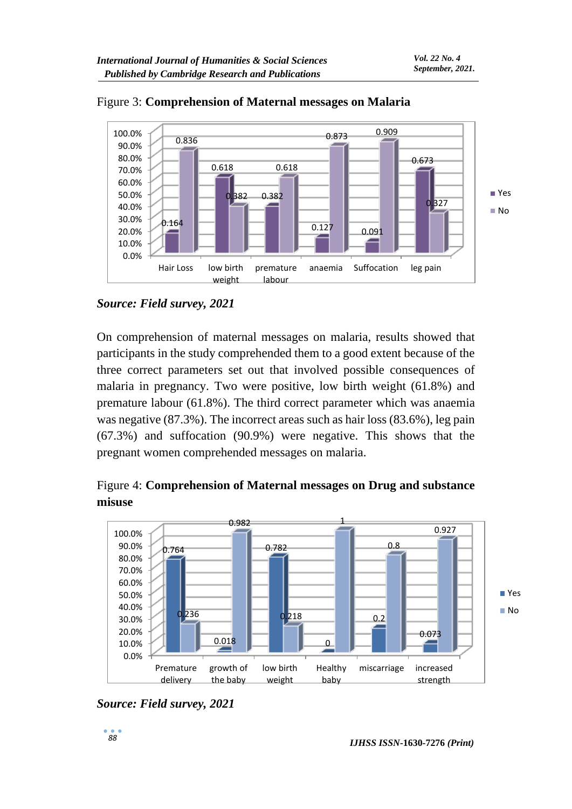



On comprehension of maternal messages on malaria, results showed that participants in the study comprehended them to a good extent because of the three correct parameters set out that involved possible consequences of malaria in pregnancy. Two were positive, low birth weight (61.8%) and premature labour (61.8%). The third correct parameter which was anaemia was negative (87.3%). The incorrect areas such as hair loss (83.6%), leg pain (67.3%) and suffocation (90.9%) were negative. This shows that the pregnant women comprehended messages on malaria.

Figure 4: **Comprehension of Maternal messages on Drug and substance misuse**



*Source: Field survey, 2021*

*Source: Field survey, 2021*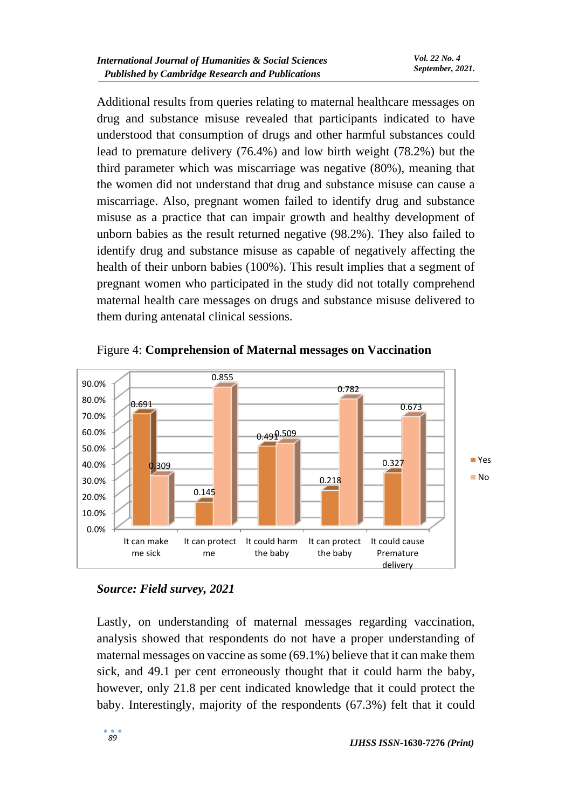Additional results from queries relating to maternal healthcare messages on drug and substance misuse revealed that participants indicated to have understood that consumption of drugs and other harmful substances could lead to premature delivery (76.4%) and low birth weight (78.2%) but the third parameter which was miscarriage was negative (80%), meaning that the women did not understand that drug and substance misuse can cause a miscarriage. Also, pregnant women failed to identify drug and substance misuse as a practice that can impair growth and healthy development of unborn babies as the result returned negative (98.2%). They also failed to identify drug and substance misuse as capable of negatively affecting the health of their unborn babies (100%). This result implies that a segment of pregnant women who participated in the study did not totally comprehend maternal health care messages on drugs and substance misuse delivered to them during antenatal clinical sessions.



Figure 4: **Comprehension of Maternal messages on Vaccination**

## *Source: Field survey, 2021*

Lastly, on understanding of maternal messages regarding vaccination, analysis showed that respondents do not have a proper understanding of maternal messages on vaccine as some (69.1%) believe that it can make them sick, and 49.1 per cent erroneously thought that it could harm the baby, however, only 21.8 per cent indicated knowledge that it could protect the baby. Interestingly, majority of the respondents (67.3%) felt that it could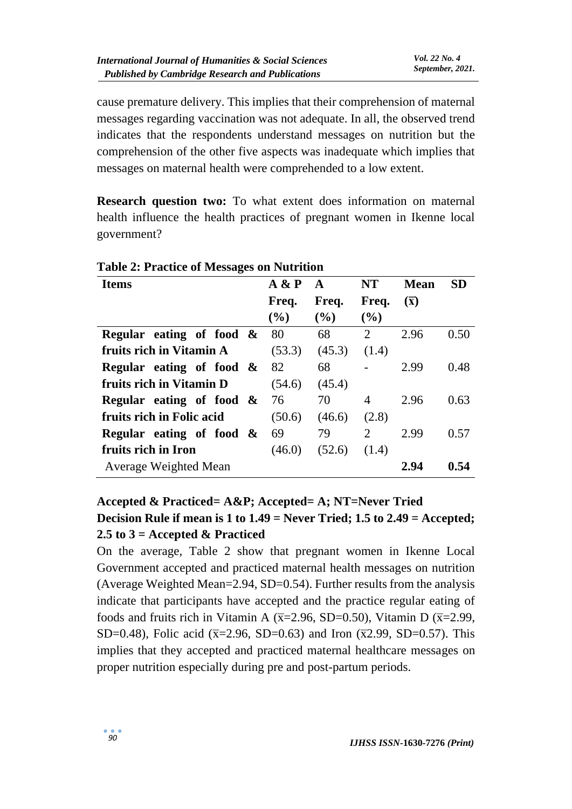cause premature delivery. This implies that their comprehension of maternal messages regarding vaccination was not adequate. In all, the observed trend indicates that the respondents understand messages on nutrition but the comprehension of the other five aspects was inadequate which implies that messages on maternal health were comprehended to a low extent.

**Research question two:** To what extent does information on maternal health influence the health practices of pregnant women in Ikenne local government?

| <b>Items</b>                | A & P  | A      | <b>NT</b>      | <b>Mean</b>      | <b>SD</b> |
|-----------------------------|--------|--------|----------------|------------------|-----------|
|                             | Freq.  | Freq.  | Freq.          | $(\overline{x})$ |           |
|                             | (9/0)  | $($ %) | $($ %)         |                  |           |
| Regular eating of food $\&$ | 80     | 68     | 2              | 2.96             | 0.50      |
| fruits rich in Vitamin A    | (53.3) | (45.3) | (1.4)          |                  |           |
| Regular eating of food $\&$ | 82     | 68     |                | 2.99             | 0.48      |
| fruits rich in Vitamin D    | (54.6) | (45.4) |                |                  |           |
| Regular eating of food $\&$ | 76     | 70     | 4              | 2.96             | 0.63      |
| fruits rich in Folic acid   | (50.6) | (46.6) | (2.8)          |                  |           |
| Regular eating of food $\&$ | 69     | 79     | $\overline{2}$ | 2.99             | 0.57      |
| fruits rich in Iron         | (46.0) | (52.6) | (1.4)          |                  |           |
| Average Weighted Mean       |        |        |                | 2.94             | 0.54      |

## **Table 2: Practice of Messages on Nutrition**

# **Accepted & Practiced= A&P; Accepted= A; NT=Never Tried Decision Rule if mean is 1 to 1.49 = Never Tried; 1.5 to 2.49 = Accepted; 2.5 to 3 = Accepted & Practiced**

On the average, Table 2 show that pregnant women in Ikenne Local Government accepted and practiced maternal health messages on nutrition (Average Weighted Mean=2.94, SD=0.54). Further results from the analysis indicate that participants have accepted and the practice regular eating of foods and fruits rich in Vitamin A ( $\overline{x}$ =2.96, SD=0.50), Vitamin D ( $\overline{x}$ =2.99, SD=0.48), Folic acid ( $\bar{x}$ =2.96, SD=0.63) and Iron ( $\bar{x}$ 2.99, SD=0.57). This implies that they accepted and practiced maternal healthcare messages on proper nutrition especially during pre and post-partum periods.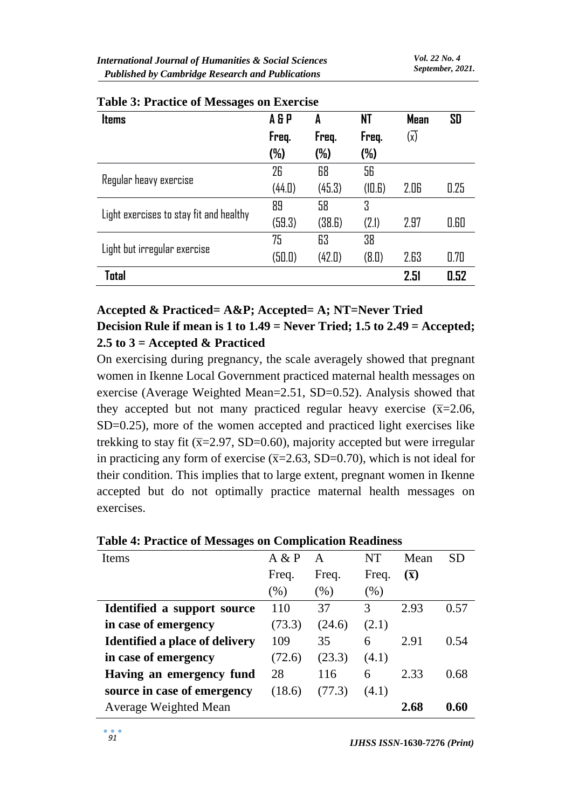| <b>Items</b>                            | A & P  | A      | NT     | <b>Mean</b> | SD   |
|-----------------------------------------|--------|--------|--------|-------------|------|
|                                         | Freq.  | Freq.  | Freq.  | (x)         |      |
|                                         | (%)    | $(\%)$ | (%)    |             |      |
|                                         | 26     | 68     | 56     |             |      |
| Regular heavy exercise                  | (44.0) | (45.3) | (10.6) | 2.06        | 0.25 |
|                                         | 89     | 58     | 3      |             |      |
| Light exercises to stay fit and healthy | (59.3) | (38.6) | (2.1)  | 2.97        | 0.60 |
|                                         | 75     | 63     | 38     |             |      |
| Light but irregular exercise            | (50.0) | (42.0) | (B.D)  | 2.63        | 0.70 |
| Total                                   |        |        |        | 2.51        | 0.52 |

|  |  | <b>Table 3: Practice of Messages on Exercise</b> |  |
|--|--|--------------------------------------------------|--|
|--|--|--------------------------------------------------|--|

## **Accepted & Practiced= A&P; Accepted= A; NT=Never Tried Decision Rule if mean is 1 to 1.49 = Never Tried; 1.5 to 2.49 = Accepted; 2.5 to 3 = Accepted & Practiced**

On exercising during pregnancy, the scale averagely showed that pregnant women in Ikenne Local Government practiced maternal health messages on exercise (Average Weighted Mean=2.51, SD=0.52). Analysis showed that they accepted but not many practiced regular heavy exercise  $(\overline{x}=2.06,$ SD=0.25), more of the women accepted and practiced light exercises like trekking to stay fit ( $\overline{x}$ =2.97, SD=0.60), majority accepted but were irregular in practicing any form of exercise  $(\overline{x}=2.63, SD=0.70)$ , which is not ideal for their condition. This implies that to large extent, pregnant women in Ikenne accepted but do not optimally practice maternal health messages on exercises.

| ີ                                     |        |        |         |                  |           |
|---------------------------------------|--------|--------|---------|------------------|-----------|
| Items                                 | A & P  | A      | NT      | Mean             | <b>SD</b> |
|                                       | Freq.  | Freq.  | Freq.   | $(\overline{x})$ |           |
|                                       | $(\%)$ | (%)    | $(\% )$ |                  |           |
| Identified a support source           | 110    | 37     | 3       | 2.93             | 0.57      |
| in case of emergency                  | (73.3) | (24.6) | (2.1)   |                  |           |
| <b>Identified a place of delivery</b> | 109    | 35     | 6       | 2.91             | 0.54      |
| in case of emergency                  | (72.6) | (23.3) | (4.1)   |                  |           |
| Having an emergency fund              | 28     | 116    | 6       | 2.33             | 0.68      |
| source in case of emergency           | (18.6) | (77.3) | (4.1)   |                  |           |
| Average Weighted Mean                 |        |        |         | 2.68             | 0.60      |
|                                       |        |        |         |                  |           |

#### **Table 4: Practice of Messages on Complication Readiness**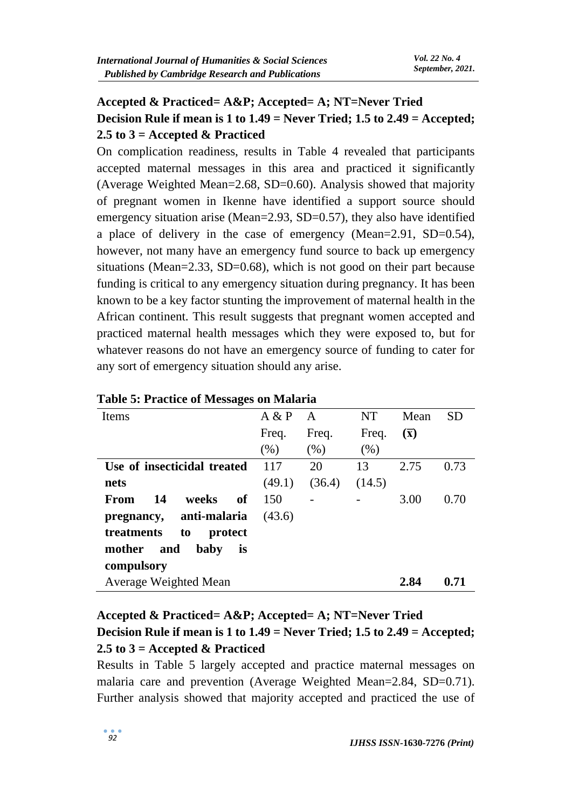# **Accepted & Practiced= A&P; Accepted= A; NT=Never Tried Decision Rule if mean is 1 to 1.49 = Never Tried; 1.5 to 2.49 = Accepted; 2.5 to 3 = Accepted & Practiced**

On complication readiness, results in Table 4 revealed that participants accepted maternal messages in this area and practiced it significantly (Average Weighted Mean=2.68, SD=0.60). Analysis showed that majority of pregnant women in Ikenne have identified a support source should emergency situation arise (Mean=2.93, SD=0.57), they also have identified a place of delivery in the case of emergency (Mean=2.91, SD=0.54), however, not many have an emergency fund source to back up emergency situations (Mean=2.33, SD=0.68), which is not good on their part because funding is critical to any emergency situation during pregnancy. It has been known to be a key factor stunting the improvement of maternal health in the African continent. This result suggests that pregnant women accepted and practiced maternal health messages which they were exposed to, but for whatever reasons do not have an emergency source of funding to cater for any sort of emergency situation should any arise.

| Items                       | A & P  | A      | NT     | Mean             | <b>SD</b> |
|-----------------------------|--------|--------|--------|------------------|-----------|
|                             | Freq.  | Freq.  | Freq.  | $(\overline{x})$ |           |
|                             | (% )   | (% )   | (% )   |                  |           |
| Use of insecticidal treated | 117    | 20     | 13     | 2.75             | 0.73      |
| nets                        | (49.1) | (36.4) | (14.5) |                  |           |
| 14<br>weeks<br>of<br>From   | 150    |        |        | 3.00             | 0.70      |
| pregnancy, anti-malaria     | (43.6) |        |        |                  |           |
| treatments<br>to<br>protect |        |        |        |                  |           |
| mother<br>and<br>baby<br>is |        |        |        |                  |           |
| compulsory                  |        |        |        |                  |           |
| Average Weighted Mean       |        |        |        | 2.84             | 0.71      |

### **Table 5: Practice of Messages on Malaria**

# **Accepted & Practiced= A&P; Accepted= A; NT=Never Tried Decision Rule if mean is 1 to 1.49 = Never Tried; 1.5 to 2.49 = Accepted; 2.5 to 3 = Accepted & Practiced**

Results in Table 5 largely accepted and practice maternal messages on malaria care and prevention (Average Weighted Mean=2.84, SD=0.71). Further analysis showed that majority accepted and practiced the use of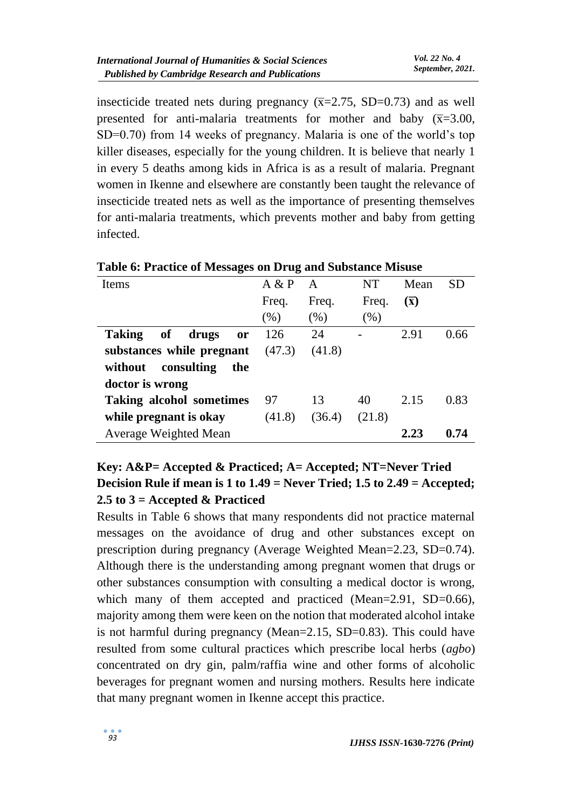insecticide treated nets during pregnancy  $(\overline{x}=2.75, SD=0.73)$  and as well presented for anti-malaria treatments for mother and baby  $(\overline{x}=3.00,$ SD=0.70) from 14 weeks of pregnancy. Malaria is one of the world's top killer diseases, especially for the young children. It is believe that nearly 1 in every 5 deaths among kids in Africa is as a result of malaria. Pregnant women in Ikenne and elsewhere are constantly been taught the relevance of insecticide treated nets as well as the importance of presenting themselves for anti-malaria treatments, which prevents mother and baby from getting infected.

| <b>Items</b>                    | A & P  | A      | <b>NT</b> | Mean             | <b>SD</b> |
|---------------------------------|--------|--------|-----------|------------------|-----------|
|                                 | Freq.  | Freq.  | Freq.     | $(\overline{x})$ |           |
|                                 | (% )   | (% )   | (% )      |                  |           |
| Taking of drugs<br><b>or</b>    | 126    | 24     |           | 2.91             | 0.66      |
| substances while pregnant       | (47.3) | (41.8) |           |                  |           |
| without consulting<br>the       |        |        |           |                  |           |
| doctor is wrong                 |        |        |           |                  |           |
| <b>Taking alcohol sometimes</b> | 97     | 13     | 40        | 2.15             | 0.83      |
| while pregnant is okay          | (41.8) | (36.4) | (21.8)    |                  |           |
| Average Weighted Mean           |        |        |           | 2.23             | 0.74      |

**Table 6: Practice of Messages on Drug and Substance Misuse**

# **Key: A&P= Accepted & Practiced; A= Accepted; NT=Never Tried Decision Rule if mean is 1 to 1.49 = Never Tried; 1.5 to 2.49 = Accepted; 2.5 to 3 = Accepted & Practiced**

Results in Table 6 shows that many respondents did not practice maternal messages on the avoidance of drug and other substances except on prescription during pregnancy (Average Weighted Mean=2.23, SD=0.74). Although there is the understanding among pregnant women that drugs or other substances consumption with consulting a medical doctor is wrong, which many of them accepted and practiced (Mean=2.91, SD=0.66), majority among them were keen on the notion that moderated alcohol intake is not harmful during pregnancy (Mean=2.15, SD=0.83). This could have resulted from some cultural practices which prescribe local herbs (*agbo*) concentrated on dry gin, palm/raffia wine and other forms of alcoholic beverages for pregnant women and nursing mothers. Results here indicate that many pregnant women in Ikenne accept this practice.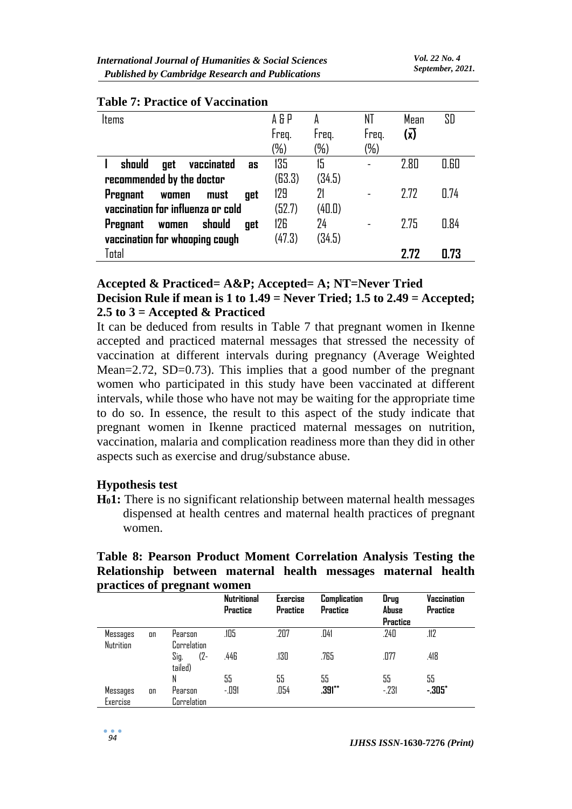| ltems                                                                        | A 5 P<br>Freq.<br>(%) | Freq.<br>$(\%)$ | NT<br>Freq.<br>(%) | Mean<br>$(\overline{x})$ | SD   |
|------------------------------------------------------------------------------|-----------------------|-----------------|--------------------|--------------------------|------|
| should<br>vaccinated<br>get<br><b>as</b><br>recommended by the doctor        | 135<br>(63.3)         | 15<br>(34.5)    |                    | 2.80                     | 0.60 |
| <b>Pregnant</b><br>must<br>women<br>aet<br>vaccination for influenza or cold | 129<br>(52.7)         | 21<br>(40.0)    |                    | 7.77                     | 0.74 |
| should<br><b>Pregnant</b><br>get<br>women<br>vaccination for whooping cough  | 126<br>(47.3)         | 24<br>(34.5)    |                    | 2.75                     | 0.84 |
| Total                                                                        |                       |                 |                    | 7 77                     | 0.73 |

### **Table 7: Practice of Vaccination**

#### **Accepted & Practiced= A&P; Accepted= A; NT=Never Tried Decision Rule if mean is 1 to 1.49 = Never Tried; 1.5 to 2.49 = Accepted; 2.5 to 3 = Accepted & Practiced**

It can be deduced from results in Table 7 that pregnant women in Ikenne accepted and practiced maternal messages that stressed the necessity of vaccination at different intervals during pregnancy (Average Weighted Mean=2.72, SD=0.73). This implies that a good number of the pregnant women who participated in this study have been vaccinated at different intervals, while those who have not may be waiting for the appropriate time to do so. In essence, the result to this aspect of the study indicate that pregnant women in Ikenne practiced maternal messages on nutrition, vaccination, malaria and complication readiness more than they did in other aspects such as exercise and drug/substance abuse.

#### **Hypothesis test**

**H01:** There is no significant relationship between maternal health messages dispensed at health centres and maternal health practices of pregnant women.

#### **Table 8: Pearson Product Moment Correlation Analysis Testing the Relationship between maternal health messages maternal health practices of pregnant women**

|                       |    |                           | <b>Nutritional</b><br>Practice | <b>Exercise</b><br><b>Practice</b> | <b>Complication</b><br><b>Practice</b> | Drug<br>Abuse<br>Practice | Vaccination<br><b>Practice</b> |
|-----------------------|----|---------------------------|--------------------------------|------------------------------------|----------------------------------------|---------------------------|--------------------------------|
| Messages<br>Nutrition | on | Pearson<br>Correlation    | .105                           | .207                               | .041                                   | .240                      | .112                           |
|                       |    | $(2 -$<br>Sig.<br>tailed) | .446                           | .130                               | .765                                   | .077                      | .418                           |
|                       |    | N                         | 55                             | 55                                 | 55                                     | 55                        | 55                             |
| Messages<br>Exercise  | on | Pearson<br>Correlation    | -.091                          | .054                               | $.391***$                              | $-231$                    | $-305"$                        |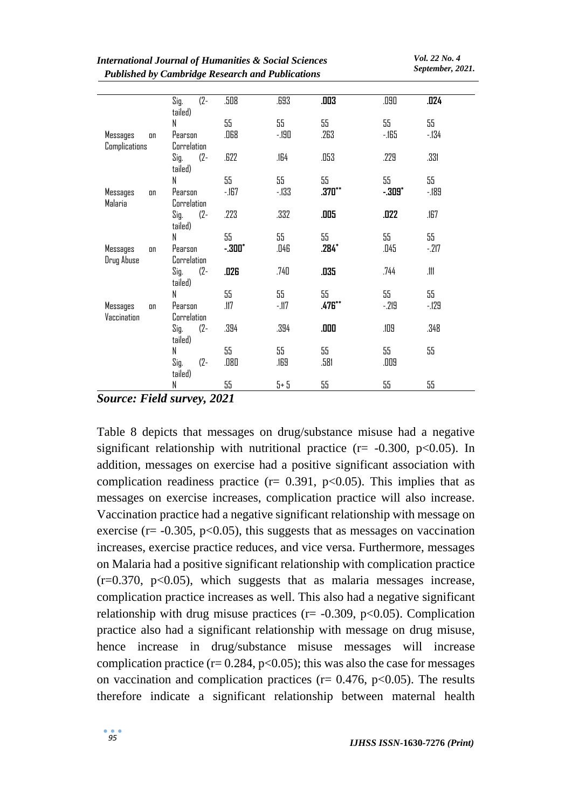*Vol. 22 No. 4 September, 2021.*

|                | Sig.<br>$(2 -$ | .508     | .693   | .003     | .090     | .024   |
|----------------|----------------|----------|--------|----------|----------|--------|
|                | tailed)        |          |        |          |          |        |
|                | N              | 55       | 55     | 55       | 55       | 55     |
| Messages<br>on | Pearson        | .068     | -.190  | .263     | $-165$   | $-134$ |
| Complications  | Correlation    |          |        |          |          |        |
|                | $(2 -$<br>Sig. | .622     | .164   | .053     | .229     | .331   |
|                | tailed)        |          |        |          |          |        |
|                | N              | 55       | 55     | 55       | 55       | 55     |
| Messages<br>on | Pearson        | $-167$   | $-133$ | $.370**$ | $-.309"$ | $-189$ |
| Malaria        | Correlation    |          |        |          |          |        |
|                | $(2 -$<br>Sig. | .223     | .332   | .005     | .022     | .167   |
|                | tailed)        |          |        |          |          |        |
|                | N              | 55       | 55     | 55       | 55       | 55     |
| Messages<br>on | Pearson        | $-300^*$ | .046   | $.284*$  | .045     | $-217$ |
| Drug Abuse     | Correlation    |          |        |          |          |        |
|                | $(2 -$<br>Sig. | .026     | .740   | .035     | .744     | .111   |
|                | tailed)        |          |        |          |          |        |
|                | N              | 55       | 55     | 55       | 55       | 55     |
| Messages<br>on | Pearson        | .117     | $-117$ | .476**   | $-219$   | $-129$ |
| Vaccination    | Correlation    |          |        |          |          |        |
|                | Sig.<br>$(2 -$ | .394     | .394   | ם מם.    | .109     | .348   |
|                | tailed)        |          |        |          |          |        |
|                | N              | 55       | 55     | 55       | 55       | 55     |
|                | Sig.<br>$(2 -$ | .080     | .169   | .581     | .009     |        |
|                | tailed)<br>N   | 55       | $5+5$  | 55       | 55       | 55     |
|                |                |          |        |          |          |        |

*Source: Field survey, 2021*

Table 8 depicts that messages on drug/substance misuse had a negative significant relationship with nutritional practice ( $r = -0.300$ ,  $p < 0.05$ ). In addition, messages on exercise had a positive significant association with complication readiness practice ( $r = 0.391$ ,  $p < 0.05$ ). This implies that as messages on exercise increases, complication practice will also increase. Vaccination practice had a negative significant relationship with message on exercise ( $r = -0.305$ ,  $p < 0.05$ ), this suggests that as messages on vaccination increases, exercise practice reduces, and vice versa. Furthermore, messages on Malaria had a positive significant relationship with complication practice  $(r=0.370, p<0.05)$ , which suggests that as malaria messages increase, complication practice increases as well. This also had a negative significant relationship with drug misuse practices ( $r = -0.309$ ,  $p < 0.05$ ). Complication practice also had a significant relationship with message on drug misuse, hence increase in drug/substance misuse messages will increase complication practice ( $r = 0.284$ ,  $p < 0.05$ ); this was also the case for messages on vaccination and complication practices ( $r = 0.476$ ,  $p < 0.05$ ). The results therefore indicate a significant relationship between maternal health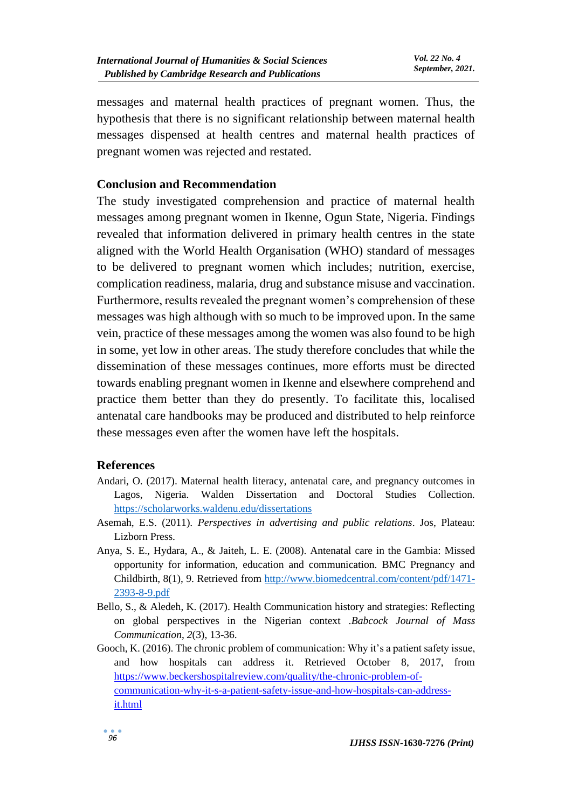messages and maternal health practices of pregnant women. Thus, the hypothesis that there is no significant relationship between maternal health messages dispensed at health centres and maternal health practices of pregnant women was rejected and restated.

### **Conclusion and Recommendation**

The study investigated comprehension and practice of maternal health messages among pregnant women in Ikenne, Ogun State, Nigeria. Findings revealed that information delivered in primary health centres in the state aligned with the World Health Organisation (WHO) standard of messages to be delivered to pregnant women which includes; nutrition, exercise, complication readiness, malaria, drug and substance misuse and vaccination. Furthermore, results revealed the pregnant women's comprehension of these messages was high although with so much to be improved upon. In the same vein, practice of these messages among the women was also found to be high in some, yet low in other areas. The study therefore concludes that while the dissemination of these messages continues, more efforts must be directed towards enabling pregnant women in Ikenne and elsewhere comprehend and practice them better than they do presently. To facilitate this, localised antenatal care handbooks may be produced and distributed to help reinforce these messages even after the women have left the hospitals.

#### **References**

- Andari, O. (2017). Maternal health literacy, antenatal care, and pregnancy outcomes in Lagos, Nigeria. Walden Dissertation and Doctoral Studies Collection. <https://scholarworks.waldenu.edu/dissertations>
- Asemah, E.S. (2011). *Perspectives in advertising and public relations*. Jos, Plateau: Lizborn Press.
- Anya, S. E., Hydara, A., & Jaiteh, L. E. (2008). Antenatal care in the Gambia: Missed opportunity for information, education and communication. BMC Pregnancy and Childbirth, 8(1), 9. Retrieved from [http://www.biomedcentral.com/content/pdf/1471-](http://www.biomedcentral.com/content/pdf/1471-2393-8-9.pdf) [2393-8-9.pdf](http://www.biomedcentral.com/content/pdf/1471-2393-8-9.pdf)
- Bello, S., & Aledeh, K. (2017). Health Communication history and strategies: Reflecting on global perspectives in the Nigerian context .*Babcock Journal of Mass Communication*, *2*(3), 13-36.
- Gooch, K. (2016). The chronic problem of communication: Why it's a patient safety issue, and how hospitals can address it. Retrieved October 8, 2017, from [https://www.beckershospitalreview.com/quality/the-chronic-problem-of](https://www.beckershospitalreview.com/quality/the-chronic-problem-of-communication-why-it-s-a-patient-safety-issue-and-how-hospitals-can-address-it.html)[communication-why-it-s-a-patient-safety-issue-and-how-hospitals-can-address](https://www.beckershospitalreview.com/quality/the-chronic-problem-of-communication-why-it-s-a-patient-safety-issue-and-how-hospitals-can-address-it.html)[it.html](https://www.beckershospitalreview.com/quality/the-chronic-problem-of-communication-why-it-s-a-patient-safety-issue-and-how-hospitals-can-address-it.html)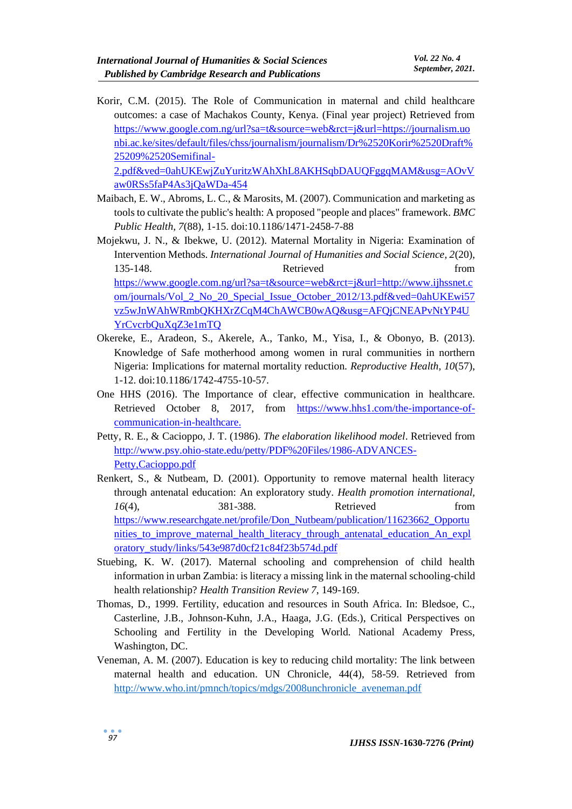Korir, C.M. (2015). The Role of Communication in maternal and child healthcare outcomes: a case of Machakos County, Kenya. (Final year project) Retrieved from [https://www.google.com.ng/url?sa=t&source=web&rct=j&url=https://journalism.uo](https://www.google.com.ng/url?sa=t&source=web&rct=j&url=https://journalism.uonbi.ac.ke/sites/default/files/chss/journalism/journalism/Dr%2520Korir%2520Draft%25209%2520Semifinal-2.pdf&ved=0ahUKEwjZuYuritzWAhXhL8AKHSqbDAUQFggqMAM&usg=AOvVaw0RSs5faP4As3jQaWDa-454) [nbi.ac.ke/sites/default/files/chss/journalism/journalism/Dr%2520Korir%2520Draft%](https://www.google.com.ng/url?sa=t&source=web&rct=j&url=https://journalism.uonbi.ac.ke/sites/default/files/chss/journalism/journalism/Dr%2520Korir%2520Draft%25209%2520Semifinal-2.pdf&ved=0ahUKEwjZuYuritzWAhXhL8AKHSqbDAUQFggqMAM&usg=AOvVaw0RSs5faP4As3jQaWDa-454) [25209%2520Semifinal-](https://www.google.com.ng/url?sa=t&source=web&rct=j&url=https://journalism.uonbi.ac.ke/sites/default/files/chss/journalism/journalism/Dr%2520Korir%2520Draft%25209%2520Semifinal-2.pdf&ved=0ahUKEwjZuYuritzWAhXhL8AKHSqbDAUQFggqMAM&usg=AOvVaw0RSs5faP4As3jQaWDa-454)[2.pdf&ved=0ahUKEwjZuYuritzWAhXhL8AKHSqbDAUQFggqMAM&usg=AOvV](https://www.google.com.ng/url?sa=t&source=web&rct=j&url=https://journalism.uonbi.ac.ke/sites/default/files/chss/journalism/journalism/Dr%2520Korir%2520Draft%25209%2520Semifinal-2.pdf&ved=0ahUKEwjZuYuritzWAhXhL8AKHSqbDAUQFggqMAM&usg=AOvVaw0RSs5faP4As3jQaWDa-454) [aw0RSs5faP4As3jQaWDa-454](https://www.google.com.ng/url?sa=t&source=web&rct=j&url=https://journalism.uonbi.ac.ke/sites/default/files/chss/journalism/journalism/Dr%2520Korir%2520Draft%25209%2520Semifinal-2.pdf&ved=0ahUKEwjZuYuritzWAhXhL8AKHSqbDAUQFggqMAM&usg=AOvVaw0RSs5faP4As3jQaWDa-454)

Maibach, E. W., Abroms, L. C., & Marosits, M. (2007). Communication and marketing as tools to cultivate the public's health: A proposed "people and places" framework. *BMC Public Health, 7*(88), 1-15. doi:10.1186/1471-2458-7-88

- Mojekwu, J. N., & Ibekwe, U. (2012). Maternal Mortality in Nigeria: Examination of Intervention Methods. *International Journal of Humanities and Social Science, 2*(20), 135-148. **Retrieved** from [https://www.google.com.ng/url?sa=t&source=web&rct=j&url=http://www.ijhssnet.c](https://www.google.com.ng/url?sa=t&source=web&rct=j&url=http://www.ijhssnet.com/journals/Vol_2_No_20_Special_Issue_October_2012/13.pdf&ved=0ahUKEwi57vz5wJnWAhWRmbQKHXrZCqM4ChAWCB0wAQ&usg=AFQjCNEAPvNtYP4UYrCvcrbQuXqZ3e1mTQ) [om/journals/Vol\\_2\\_No\\_20\\_Special\\_Issue\\_October\\_2012/13.pdf&ved=0ahUKEwi57](https://www.google.com.ng/url?sa=t&source=web&rct=j&url=http://www.ijhssnet.com/journals/Vol_2_No_20_Special_Issue_October_2012/13.pdf&ved=0ahUKEwi57vz5wJnWAhWRmbQKHXrZCqM4ChAWCB0wAQ&usg=AFQjCNEAPvNtYP4UYrCvcrbQuXqZ3e1mTQ) [vz5wJnWAhWRmbQKHXrZCqM4ChAWCB0wAQ&usg=AFQjCNEAPvNtYP4U](https://www.google.com.ng/url?sa=t&source=web&rct=j&url=http://www.ijhssnet.com/journals/Vol_2_No_20_Special_Issue_October_2012/13.pdf&ved=0ahUKEwi57vz5wJnWAhWRmbQKHXrZCqM4ChAWCB0wAQ&usg=AFQjCNEAPvNtYP4UYrCvcrbQuXqZ3e1mTQ) [YrCvcrbQuXqZ3e1mTQ](https://www.google.com.ng/url?sa=t&source=web&rct=j&url=http://www.ijhssnet.com/journals/Vol_2_No_20_Special_Issue_October_2012/13.pdf&ved=0ahUKEwi57vz5wJnWAhWRmbQKHXrZCqM4ChAWCB0wAQ&usg=AFQjCNEAPvNtYP4UYrCvcrbQuXqZ3e1mTQ)
- Okereke, E., Aradeon, S., Akerele, A., Tanko, M., Yisa, I., & Obonyo, B. (2013). Knowledge of Safe motherhood among women in rural communities in northern Nigeria: Implications for maternal mortality reduction. *Reproductive Health, 10*(57), 1-12. doi:10.1186/1742-4755-10-57.
- One HHS (2016). The Importance of clear, effective communication in healthcare. Retrieved October 8, 2017, from [https://www.hhs1.com/the-importance-of](https://www.hhs1.com/the-importance-of-communication-in-healthcare)[communication-in-healthcare.](https://www.hhs1.com/the-importance-of-communication-in-healthcare)
- Petty, R. E., & Cacioppo, J. T. (1986). *The elaboration likelihood model*. Retrieved from [http://www.psy.ohio-state.edu/petty/PDF%20Files/1986-ADVANCES-](http://www.psy.ohio-state.edu/petty/PDF%20Files/1986-ADVANCES-Petty,Cacioppo.pdf)[Petty,Cacioppo.pdf](http://www.psy.ohio-state.edu/petty/PDF%20Files/1986-ADVANCES-Petty,Cacioppo.pdf)
- Renkert, S., & Nutbeam, D. (2001). Opportunity to remove maternal health literacy through antenatal education: An exploratory study. *Health promotion international, 16*(4), 381-388. Retrieved from [https://www.researchgate.net/profile/Don\\_Nutbeam/publication/11623662\\_Opportu](https://www.researchgate.net/profile/Don_Nutbeam/publication/11623662_Opportunities_to_improve_maternal_health_literacy_through_antenatal_education_An_exploratory_study/links/543e987d0cf21c84f23b574d.pdf) nities to improve maternal health literacy through antenatal education An expl [oratory\\_study/links/543e987d0cf21c84f23b574d.pdf](https://www.researchgate.net/profile/Don_Nutbeam/publication/11623662_Opportunities_to_improve_maternal_health_literacy_through_antenatal_education_An_exploratory_study/links/543e987d0cf21c84f23b574d.pdf)
- Stuebing, K. W. (2017). Maternal schooling and comprehension of child health information in urban Zambia: is literacy a missing link in the maternal schooling-child health relationship? *Health Transition Review 7*, 149-169.
- Thomas, D., 1999. Fertility, education and resources in South Africa. In: Bledsoe, C., Casterline, J.B., Johnson-Kuhn, J.A., Haaga, J.G. (Eds.), Critical Perspectives on Schooling and Fertility in the Developing World. National Academy Press, Washington, DC.
- Veneman, A. M. (2007). Education is key to reducing child mortality: The link between maternal health and education. UN Chronicle, 44(4), 58-59. Retrieved from [http://www.who.int/pmnch/topics/mdgs/2008unchronicle\\_aveneman.pdf](http://www.who.int/pmnch/topics/mdgs/2008unchronicle_aveneman.pdf)